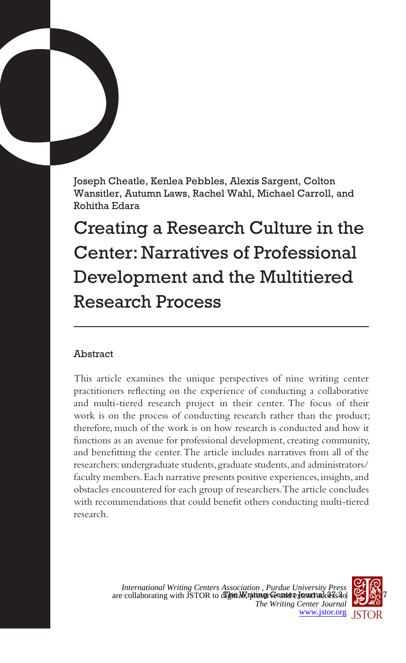Joseph Cheatle, Kenlea Pebbles, Alexis Sargent, Colton Wansitler, Autumn Laws, Rachel Wahl, Michael Carroll, and Rohitha Edara

Creating a Research Culture in the Center: Narratives of Professional Development and the Multitiered Research Process

# Abstract

This article examines the unique perspectives of nine writing center practitioners reflecting on the experience of conducting a collaborative and multi-tiered research project in their center. The focus of their work is on the process of conducting research rather than the product; therefore, much of the work is on how research is conducted and how it functions as an avenue for professional development, creating community, and benefitting the center. The article includes narratives from all of the researchers: undergraduate students, graduate students, and administrators/ faculty members. Each narrative presents positive experiences, insights, and obstacles encountered for each group of researchers. The article concludes with recommendations that could benefit others conducting multi-tiered research.

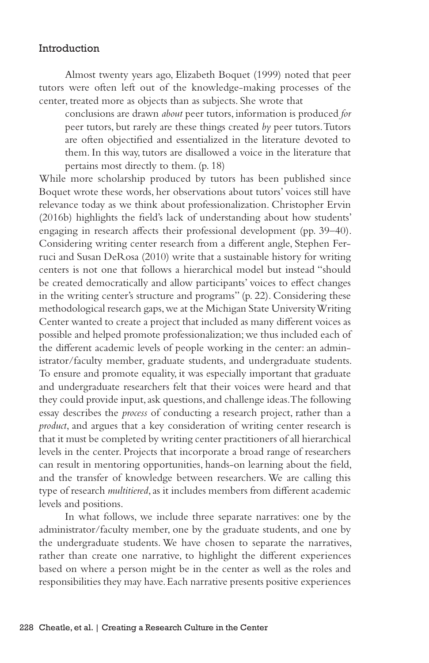#### Introduction

Almost twenty years ago, Elizabeth Boquet (1999) noted that peer tutors were often left out of the knowledge-making processes of the center, treated more as objects than as subjects. She wrote that

conclusions are drawn *about* peer tutors, information is produced *for*  peer tutors, but rarely are these things created *by* peer tutors. Tutors are often objectified and essentialized in the literature devoted to them. In this way, tutors are disallowed a voice in the literature that pertains most directly to them. (p. 18)

While more scholarship produced by tutors has been published since Boquet wrote these words, her observations about tutors' voices still have relevance today as we think about professionalization. Christopher Ervin (2016b) highlights the field's lack of understanding about how students' engaging in research affects their professional development (pp. 39–40). Considering writing center research from a different angle, Stephen Ferruci and Susan DeRosa (2010) write that a sustainable history for writing centers is not one that follows a hierarchical model but instead "should be created democratically and allow participants' voices to effect changes in the writing center's structure and programs" (p. 22). Considering these methodological research gaps, we at the Michigan State University Writing Center wanted to create a project that included as many different voices as possible and helped promote professionalization; we thus included each of the different academic levels of people working in the center: an administrator/faculty member, graduate students, and undergraduate students. To ensure and promote equality, it was especially important that graduate and undergraduate researchers felt that their voices were heard and that they could provide input, ask questions, and challenge ideas. The following essay describes the *process* of conducting a research project, rather than a *product*, and argues that a key consideration of writing center research is that it must be completed by writing center practitioners of all hierarchical levels in the center. Projects that incorporate a broad range of researchers can result in mentoring opportunities, hands-on learning about the field, and the transfer of knowledge between researchers. We are calling this type of research *multitiered*, as it includes members from different academic levels and positions.

In what follows, we include three separate narratives: one by the administrator/faculty member, one by the graduate students, and one by the undergraduate students. We have chosen to separate the narratives, rather than create one narrative, to highlight the different experiences based on where a person might be in the center as well as the roles and responsibilities they may have. Each narrative presents positive experiences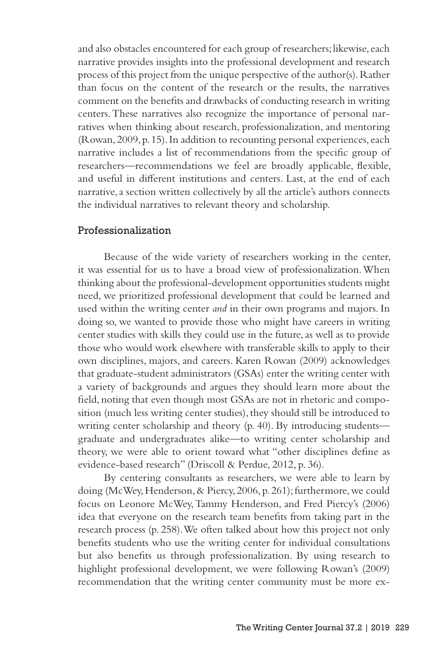and also obstacles encountered for each group of researchers; likewise, each narrative provides insights into the professional development and research process of this project from the unique perspective of the author(s). Rather than focus on the content of the research or the results, the narratives comment on the benefits and drawbacks of conducting research in writing centers. These narratives also recognize the importance of personal narratives when thinking about research, professionalization, and mentoring (Rowan, 2009, p. 15). In addition to recounting personal experiences, each narrative includes a list of recommendations from the specific group of researchers—recommendations we feel are broadly applicable, flexible, and useful in different institutions and centers. Last, at the end of each narrative, a section written collectively by all the article's authors connects the individual narratives to relevant theory and scholarship.

## Professionalization

Because of the wide variety of researchers working in the center, it was essential for us to have a broad view of professionalization. When thinking about the professional-development opportunities students might need, we prioritized professional development that could be learned and used within the writing center *and* in their own programs and majors. In doing so, we wanted to provide those who might have careers in writing center studies with skills they could use in the future, as well as to provide those who would work elsewhere with transferable skills to apply to their own disciplines, majors, and careers. Karen Rowan (2009) acknowledges that graduate-student administrators (GSAs) enter the writing center with a variety of backgrounds and argues they should learn more about the field, noting that even though most GSAs are not in rhetoric and composition (much less writing center studies), they should still be introduced to writing center scholarship and theory (p. 40). By introducing students graduate and undergraduates alike—to writing center scholarship and theory, we were able to orient toward what "other disciplines define as evidence-based research" (Driscoll & Perdue, 2012, p. 36).

By centering consultants as researchers, we were able to learn by doing (McWey, Henderson, & Piercy, 2006, p. 261); furthermore, we could focus on Leonore McWey, Tammy Henderson, and Fred Piercy's (2006) idea that everyone on the research team benefits from taking part in the research process (p. 258). We often talked about how this project not only benefits students who use the writing center for individual consultations but also benefits us through professionalization. By using research to highlight professional development, we were following Rowan's (2009) recommendation that the writing center community must be more ex-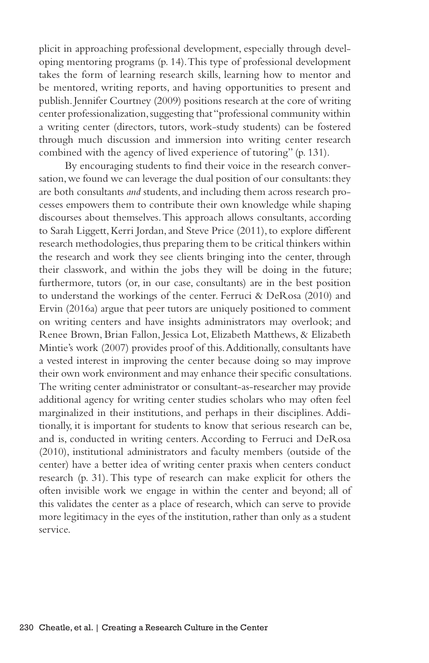plicit in approaching professional development, especially through developing mentoring programs (p. 14). This type of professional development takes the form of learning research skills, learning how to mentor and be mentored, writing reports, and having opportunities to present and publish. Jennifer Courtney (2009) positions research at the core of writing center professionalization, suggesting that "professional community within a writing center (directors, tutors, work-study students) can be fostered through much discussion and immersion into writing center research combined with the agency of lived experience of tutoring" (p. 131).

By encouraging students to find their voice in the research conversation, we found we can leverage the dual position of our consultants: they are both consultants *and* students, and including them across research processes empowers them to contribute their own knowledge while shaping discourses about themselves. This approach allows consultants, according to Sarah Liggett, Kerri Jordan, and Steve Price (2011), to explore different research methodologies, thus preparing them to be critical thinkers within the research and work they see clients bringing into the center, through their classwork, and within the jobs they will be doing in the future; furthermore, tutors (or, in our case, consultants) are in the best position to understand the workings of the center. Ferruci & DeRosa (2010) and Ervin (2016a) argue that peer tutors are uniquely positioned to comment on writing centers and have insights administrators may overlook; and Renee Brown, Brian Fallon, Jessica Lot, Elizabeth Matthews, & Elizabeth Mintie's work (2007) provides proof of this. Additionally, consultants have a vested interest in improving the center because doing so may improve their own work environment and may enhance their specific consultations. The writing center administrator or consultant-as-researcher may provide additional agency for writing center studies scholars who may often feel marginalized in their institutions, and perhaps in their disciplines. Additionally, it is important for students to know that serious research can be, and is, conducted in writing centers. According to Ferruci and DeRosa (2010), institutional administrators and faculty members (outside of the center) have a better idea of writing center praxis when centers conduct research (p. 31). This type of research can make explicit for others the often invisible work we engage in within the center and beyond; all of this validates the center as a place of research, which can serve to provide more legitimacy in the eyes of the institution, rather than only as a student service.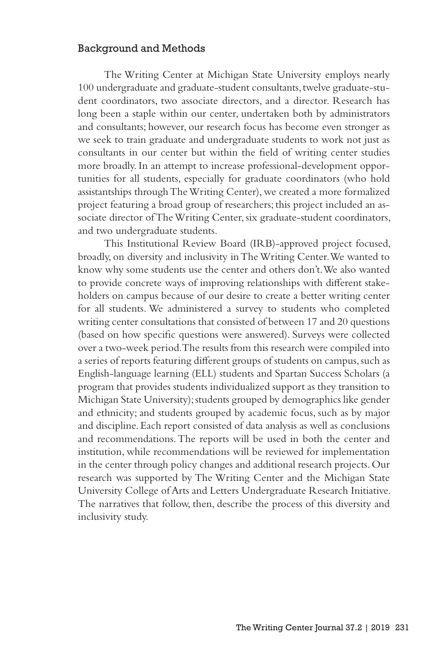#### Background and Methods

The Writing Center at Michigan State University employs nearly 100 undergraduate and graduate-student consultants, twelve graduate-student coordinators, two associate directors, and a director. Research has long been a staple within our center, undertaken both by administrators and consultants; however, our research focus has become even stronger as we seek to train graduate and undergraduate students to work not just as consultants in our center but within the field of writing center studies more broadly. In an attempt to increase professional-development opportunities for all students, especially for graduate coordinators (who hold assistantships through The Writing Center), we created a more formalized project featuring a broad group of researchers; this project included an associate director of The Writing Center, six graduate-student coordinators, and two undergraduate students.

This Institutional Review Board (IRB)-approved project focused, broadly, on diversity and inclusivity in The Writing Center. We wanted to know why some students use the center and others don't. We also wanted to provide concrete ways of improving relationships with different stakeholders on campus because of our desire to create a better writing center for all students. We administered a survey to students who completed writing center consultations that consisted of between 17 and 20 questions (based on how specific questions were answered). Surveys were collected over a two-week period. The results from this research were compiled into a series of reports featuring different groups of students on campus, such as English-language learning (ELL) students and Spartan Success Scholars (a program that provides students individualized support as they transition to Michigan State University); students grouped by demographics like gender and ethnicity; and students grouped by academic focus, such as by major and discipline. Each report consisted of data analysis as well as conclusions and recommendations. The reports will be used in both the center and institution, while recommendations will be reviewed for implementation in the center through policy changes and additional research projects. Our research was supported by The Writing Center and the Michigan State University College of Arts and Letters Undergraduate Research Initiative. The narratives that follow, then, describe the process of this diversity and inclusivity study.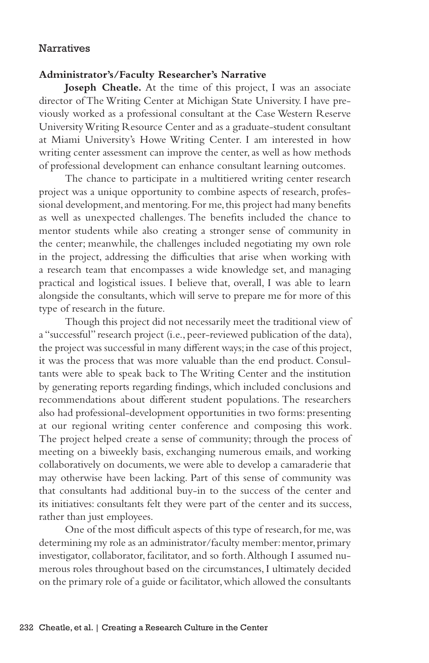## **Narratives**

## **Administrator's/Faculty Researcher's Narrative**

**Joseph Cheatle.** At the time of this project, I was an associate director of The Writing Center at Michigan State University. I have previously worked as a professional consultant at the Case Western Reserve University Writing Resource Center and as a graduate-student consultant at Miami University's Howe Writing Center. I am interested in how writing center assessment can improve the center, as well as how methods of professional development can enhance consultant learning outcomes.

The chance to participate in a multitiered writing center research project was a unique opportunity to combine aspects of research, professional development, and mentoring. For me, this project had many benefits as well as unexpected challenges. The benefits included the chance to mentor students while also creating a stronger sense of community in the center; meanwhile, the challenges included negotiating my own role in the project, addressing the difficulties that arise when working with a research team that encompasses a wide knowledge set, and managing practical and logistical issues. I believe that, overall, I was able to learn alongside the consultants, which will serve to prepare me for more of this type of research in the future.

Though this project did not necessarily meet the traditional view of a "successful" research project (i.e., peer-reviewed publication of the data), the project was successful in many different ways; in the case of this project, it was the process that was more valuable than the end product. Consultants were able to speak back to The Writing Center and the institution by generating reports regarding findings, which included conclusions and recommendations about different student populations. The researchers also had professional-development opportunities in two forms: presenting at our regional writing center conference and composing this work. The project helped create a sense of community; through the process of meeting on a biweekly basis, exchanging numerous emails, and working collaboratively on documents, we were able to develop a camaraderie that may otherwise have been lacking. Part of this sense of community was that consultants had additional buy-in to the success of the center and its initiatives: consultants felt they were part of the center and its success, rather than just employees.

One of the most difficult aspects of this type of research, for me, was determining my role as an administrator/faculty member: mentor, primary investigator, collaborator, facilitator, and so forth. Although I assumed numerous roles throughout based on the circumstances, I ultimately decided on the primary role of a guide or facilitator, which allowed the consultants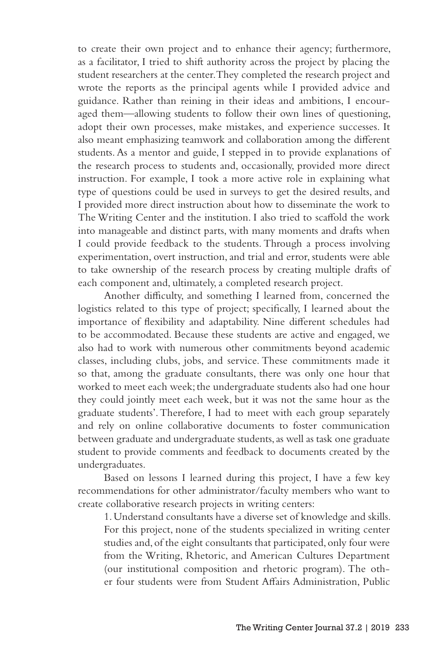to create their own project and to enhance their agency; furthermore, as a facilitator, I tried to shift authority across the project by placing the student researchers at the center. They completed the research project and wrote the reports as the principal agents while I provided advice and guidance. Rather than reining in their ideas and ambitions, I encouraged them—allowing students to follow their own lines of questioning, adopt their own processes, make mistakes, and experience successes. It also meant emphasizing teamwork and collaboration among the different students. As a mentor and guide, I stepped in to provide explanations of the research process to students and, occasionally, provided more direct instruction. For example, I took a more active role in explaining what type of questions could be used in surveys to get the desired results, and I provided more direct instruction about how to disseminate the work to The Writing Center and the institution. I also tried to scaffold the work into manageable and distinct parts, with many moments and drafts when I could provide feedback to the students. Through a process involving experimentation, overt instruction, and trial and error, students were able to take ownership of the research process by creating multiple drafts of each component and, ultimately, a completed research project.

Another difficulty, and something I learned from, concerned the logistics related to this type of project; specifically, I learned about the importance of flexibility and adaptability. Nine different schedules had to be accommodated. Because these students are active and engaged, we also had to work with numerous other commitments beyond academic classes, including clubs, jobs, and service. These commitments made it so that, among the graduate consultants, there was only one hour that worked to meet each week; the undergraduate students also had one hour they could jointly meet each week, but it was not the same hour as the graduate students'. Therefore, I had to meet with each group separately and rely on online collaborative documents to foster communication between graduate and undergraduate students, as well as task one graduate student to provide comments and feedback to documents created by the undergraduates.

Based on lessons I learned during this project, I have a few key recommendations for other administrator/faculty members who want to create collaborative research projects in writing centers:

1. Understand consultants have a diverse set of knowledge and skills. For this project, none of the students specialized in writing center studies and, of the eight consultants that participated, only four were from the Writing, Rhetoric, and American Cultures Department (our institutional composition and rhetoric program). The other four students were from Student Affairs Administration, Public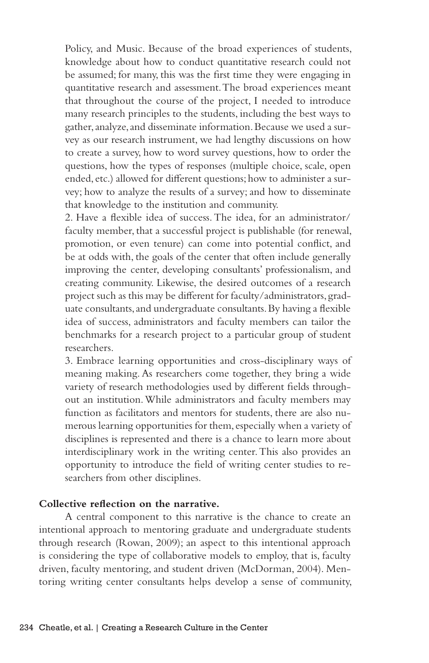Policy, and Music. Because of the broad experiences of students, knowledge about how to conduct quantitative research could not be assumed; for many, this was the first time they were engaging in quantitative research and assessment. The broad experiences meant that throughout the course of the project, I needed to introduce many research principles to the students, including the best ways to gather, analyze, and disseminate information. Because we used a survey as our research instrument, we had lengthy discussions on how to create a survey, how to word survey questions, how to order the questions, how the types of responses (multiple choice, scale, open ended, etc.) allowed for different questions; how to administer a survey; how to analyze the results of a survey; and how to disseminate that knowledge to the institution and community.

2. Have a flexible idea of success. The idea, for an administrator/ faculty member, that a successful project is publishable (for renewal, promotion, or even tenure) can come into potential conflict, and be at odds with, the goals of the center that often include generally improving the center, developing consultants' professionalism, and creating community. Likewise, the desired outcomes of a research project such as this may be different for faculty/administrators, graduate consultants, and undergraduate consultants. By having a flexible idea of success, administrators and faculty members can tailor the benchmarks for a research project to a particular group of student researchers.

3. Embrace learning opportunities and cross-disciplinary ways of meaning making. As researchers come together, they bring a wide variety of research methodologies used by different fields throughout an institution. While administrators and faculty members may function as facilitators and mentors for students, there are also numerous learning opportunities for them, especially when a variety of disciplines is represented and there is a chance to learn more about interdisciplinary work in the writing center. This also provides an opportunity to introduce the field of writing center studies to researchers from other disciplines.

## **Collective reflection on the narrative.**

A central component to this narrative is the chance to create an intentional approach to mentoring graduate and undergraduate students through research (Rowan, 2009); an aspect to this intentional approach is considering the type of collaborative models to employ, that is, faculty driven, faculty mentoring, and student driven (McDorman, 2004). Mentoring writing center consultants helps develop a sense of community,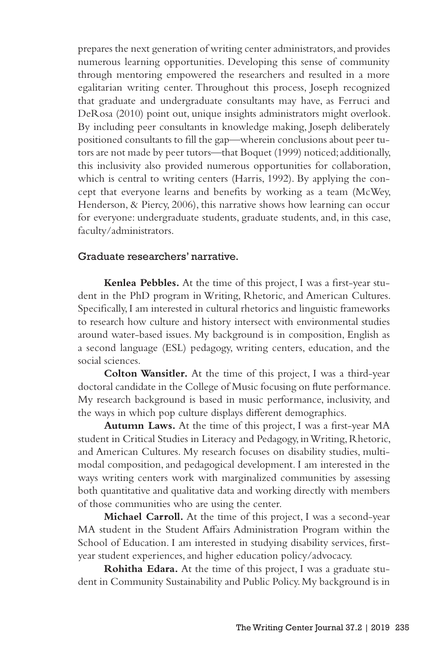prepares the next generation of writing center administrators, and provides numerous learning opportunities. Developing this sense of community through mentoring empowered the researchers and resulted in a more egalitarian writing center. Throughout this process, Joseph recognized that graduate and undergraduate consultants may have, as Ferruci and DeRosa (2010) point out, unique insights administrators might overlook. By including peer consultants in knowledge making, Joseph deliberately positioned consultants to fill the gap—wherein conclusions about peer tutors are not made by peer tutors—that Boquet (1999) noticed; additionally, this inclusivity also provided numerous opportunities for collaboration, which is central to writing centers (Harris, 1992). By applying the concept that everyone learns and benefits by working as a team (McWey, Henderson, & Piercy, 2006), this narrative shows how learning can occur for everyone: undergraduate students, graduate students, and, in this case, faculty/administrators.

## Graduate researchers' narrative.

**Kenlea Pebbles.** At the time of this project, I was a first-year student in the PhD program in Writing, Rhetoric, and American Cultures. Specifically, I am interested in cultural rhetorics and linguistic frameworks to research how culture and history intersect with environmental studies around water-based issues. My background is in composition, English as a second language (ESL) pedagogy, writing centers, education, and the social sciences.

**Colton Wansitler.** At the time of this project, I was a third-year doctoral candidate in the College of Music focusing on flute performance. My research background is based in music performance, inclusivity, and the ways in which pop culture displays different demographics.

**Autumn Laws.** At the time of this project, I was a first-year MA student in Critical Studies in Literacy and Pedagogy, in Writing, Rhetoric, and American Cultures. My research focuses on disability studies, multimodal composition, and pedagogical development. I am interested in the ways writing centers work with marginalized communities by assessing both quantitative and qualitative data and working directly with members of those communities who are using the center.

**Michael Carroll.** At the time of this project, I was a second-year MA student in the Student Affairs Administration Program within the School of Education. I am interested in studying disability services, firstyear student experiences, and higher education policy/advocacy.

**Rohitha Edara.** At the time of this project, I was a graduate student in Community Sustainability and Public Policy. My background is in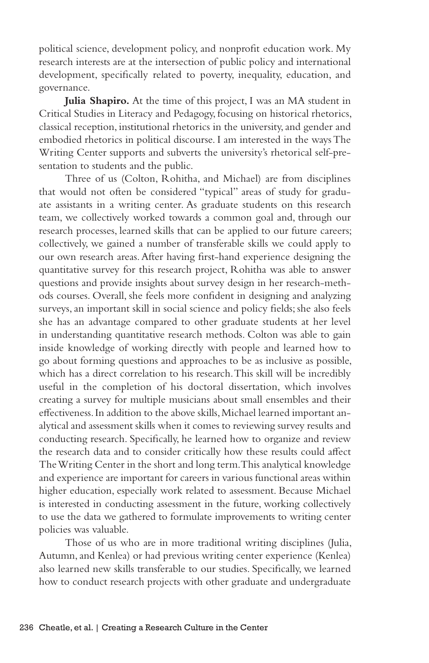political science, development policy, and nonprofit education work. My research interests are at the intersection of public policy and international development, specifically related to poverty, inequality, education, and governance.

**Julia Shapiro.** At the time of this project, I was an MA student in Critical Studies in Literacy and Pedagogy, focusing on historical rhetorics, classical reception, institutional rhetorics in the university, and gender and embodied rhetorics in political discourse. I am interested in the ways The Writing Center supports and subverts the university's rhetorical self-presentation to students and the public.

Three of us (Colton, Rohitha, and Michael) are from disciplines that would not often be considered "typical" areas of study for graduate assistants in a writing center. As graduate students on this research team, we collectively worked towards a common goal and, through our research processes, learned skills that can be applied to our future careers; collectively, we gained a number of transferable skills we could apply to our own research areas. After having first-hand experience designing the quantitative survey for this research project, Rohitha was able to answer questions and provide insights about survey design in her research-methods courses. Overall, she feels more confident in designing and analyzing surveys, an important skill in social science and policy fields; she also feels she has an advantage compared to other graduate students at her level in understanding quantitative research methods. Colton was able to gain inside knowledge of working directly with people and learned how to go about forming questions and approaches to be as inclusive as possible, which has a direct correlation to his research. This skill will be incredibly useful in the completion of his doctoral dissertation, which involves creating a survey for multiple musicians about small ensembles and their effectiveness. In addition to the above skills, Michael learned important analytical and assessment skills when it comes to reviewing survey results and conducting research. Specifically, he learned how to organize and review the research data and to consider critically how these results could affect The Writing Center in the short and long term. This analytical knowledge and experience are important for careers in various functional areas within higher education, especially work related to assessment. Because Michael is interested in conducting assessment in the future, working collectively to use the data we gathered to formulate improvements to writing center policies was valuable.

Those of us who are in more traditional writing disciplines (Julia, Autumn, and Kenlea) or had previous writing center experience (Kenlea) also learned new skills transferable to our studies. Specifically, we learned how to conduct research projects with other graduate and undergraduate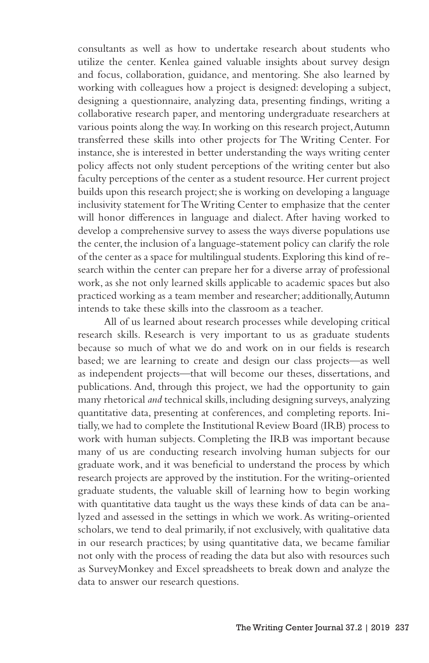consultants as well as how to undertake research about students who utilize the center. Kenlea gained valuable insights about survey design and focus, collaboration, guidance, and mentoring. She also learned by working with colleagues how a project is designed: developing a subject, designing a questionnaire, analyzing data, presenting findings, writing a collaborative research paper, and mentoring undergraduate researchers at various points along the way. In working on this research project, Autumn transferred these skills into other projects for The Writing Center. For instance, she is interested in better understanding the ways writing center policy affects not only student perceptions of the writing center but also faculty perceptions of the center as a student resource. Her current project builds upon this research project; she is working on developing a language inclusivity statement for The Writing Center to emphasize that the center will honor differences in language and dialect. After having worked to develop a comprehensive survey to assess the ways diverse populations use the center, the inclusion of a language-statement policy can clarify the role of the center as a space for multilingual students. Exploring this kind of research within the center can prepare her for a diverse array of professional work, as she not only learned skills applicable to academic spaces but also practiced working as a team member and researcher; additionally, Autumn intends to take these skills into the classroom as a teacher.

All of us learned about research processes while developing critical research skills. Research is very important to us as graduate students because so much of what we do and work on in our fields is research based; we are learning to create and design our class projects—as well as independent projects—that will become our theses, dissertations, and publications. And, through this project, we had the opportunity to gain many rhetorical *and* technical skills, including designing surveys, analyzing quantitative data, presenting at conferences, and completing reports. Initially, we had to complete the Institutional Review Board (IRB) process to work with human subjects. Completing the IRB was important because many of us are conducting research involving human subjects for our graduate work, and it was beneficial to understand the process by which research projects are approved by the institution. For the writing-oriented graduate students, the valuable skill of learning how to begin working with quantitative data taught us the ways these kinds of data can be analyzed and assessed in the settings in which we work. As writing-oriented scholars, we tend to deal primarily, if not exclusively, with qualitative data in our research practices; by using quantitative data, we became familiar not only with the process of reading the data but also with resources such as SurveyMonkey and Excel spreadsheets to break down and analyze the data to answer our research questions.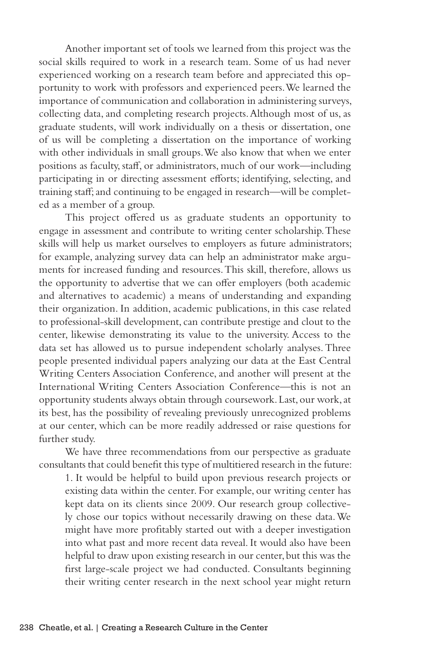Another important set of tools we learned from this project was the social skills required to work in a research team. Some of us had never experienced working on a research team before and appreciated this opportunity to work with professors and experienced peers. We learned the importance of communication and collaboration in administering surveys, collecting data, and completing research projects. Although most of us, as graduate students, will work individually on a thesis or dissertation, one of us will be completing a dissertation on the importance of working with other individuals in small groups. We also know that when we enter positions as faculty, staff, or administrators, much of our work—including participating in or directing assessment efforts; identifying, selecting, and training staff; and continuing to be engaged in research—will be completed as a member of a group.

This project offered us as graduate students an opportunity to engage in assessment and contribute to writing center scholarship. These skills will help us market ourselves to employers as future administrators; for example, analyzing survey data can help an administrator make arguments for increased funding and resources. This skill, therefore, allows us the opportunity to advertise that we can offer employers (both academic and alternatives to academic) a means of understanding and expanding their organization. In addition, academic publications, in this case related to professional-skill development, can contribute prestige and clout to the center, likewise demonstrating its value to the university. Access to the data set has allowed us to pursue independent scholarly analyses. Three people presented individual papers analyzing our data at the East Central Writing Centers Association Conference, and another will present at the International Writing Centers Association Conference—this is not an opportunity students always obtain through coursework. Last, our work, at its best, has the possibility of revealing previously unrecognized problems at our center, which can be more readily addressed or raise questions for further study.

We have three recommendations from our perspective as graduate consultants that could benefit this type of multitiered research in the future:

1. It would be helpful to build upon previous research projects or existing data within the center. For example, our writing center has kept data on its clients since 2009. Our research group collectively chose our topics without necessarily drawing on these data. We might have more profitably started out with a deeper investigation into what past and more recent data reveal. It would also have been helpful to draw upon existing research in our center, but this was the first large-scale project we had conducted. Consultants beginning their writing center research in the next school year might return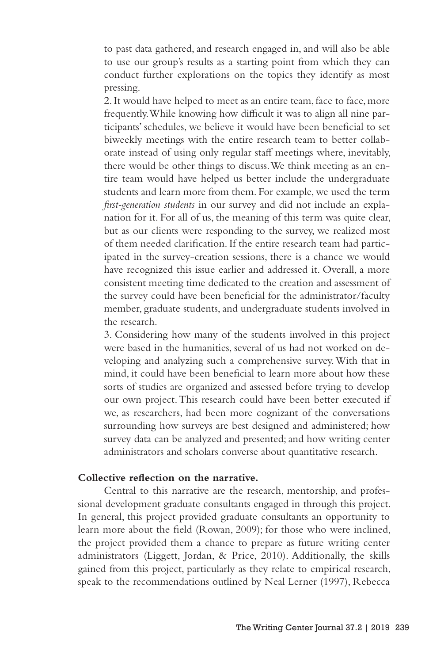to past data gathered, and research engaged in, and will also be able to use our group's results as a starting point from which they can conduct further explorations on the topics they identify as most pressing.

2. It would have helped to meet as an entire team, face to face, more frequently. While knowing how difficult it was to align all nine participants' schedules, we believe it would have been beneficial to set biweekly meetings with the entire research team to better collaborate instead of using only regular staff meetings where, inevitably, there would be other things to discuss. We think meeting as an entire team would have helped us better include the undergraduate students and learn more from them. For example, we used the term *first-generation students* in our survey and did not include an explanation for it. For all of us, the meaning of this term was quite clear, but as our clients were responding to the survey, we realized most of them needed clarification. If the entire research team had participated in the survey-creation sessions, there is a chance we would have recognized this issue earlier and addressed it. Overall, a more consistent meeting time dedicated to the creation and assessment of the survey could have been beneficial for the administrator/faculty member, graduate students, and undergraduate students involved in the research.

3. Considering how many of the students involved in this project were based in the humanities, several of us had not worked on developing and analyzing such a comprehensive survey. With that in mind, it could have been beneficial to learn more about how these sorts of studies are organized and assessed before trying to develop our own project. This research could have been better executed if we, as researchers, had been more cognizant of the conversations surrounding how surveys are best designed and administered; how survey data can be analyzed and presented; and how writing center administrators and scholars converse about quantitative research.

## **Collective reflection on the narrative.**

Central to this narrative are the research, mentorship, and professional development graduate consultants engaged in through this project. In general, this project provided graduate consultants an opportunity to learn more about the field (Rowan, 2009); for those who were inclined, the project provided them a chance to prepare as future writing center administrators (Liggett, Jordan, & Price, 2010). Additionally, the skills gained from this project, particularly as they relate to empirical research, speak to the recommendations outlined by Neal Lerner (1997), Rebecca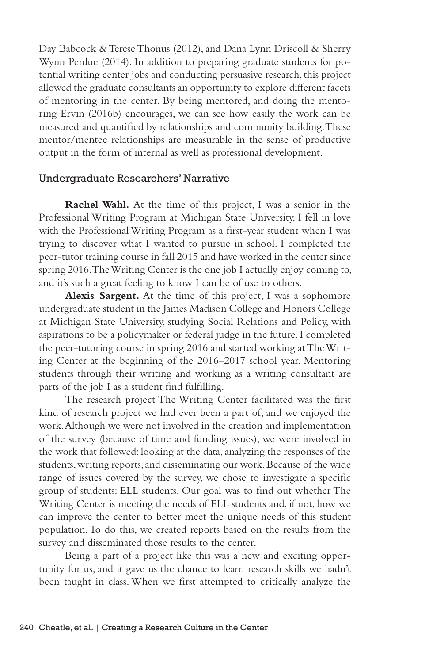Day Babcock & Terese Thonus (2012), and Dana Lynn Driscoll & Sherry Wynn Perdue (2014). In addition to preparing graduate students for potential writing center jobs and conducting persuasive research, this project allowed the graduate consultants an opportunity to explore different facets of mentoring in the center. By being mentored, and doing the mentoring Ervin (2016b) encourages, we can see how easily the work can be measured and quantified by relationships and community building. These mentor/mentee relationships are measurable in the sense of productive output in the form of internal as well as professional development.

#### Undergraduate Researchers' Narrative

**Rachel Wahl.** At the time of this project, I was a senior in the Professional Writing Program at Michigan State University. I fell in love with the Professional Writing Program as a first-year student when I was trying to discover what I wanted to pursue in school. I completed the peer-tutor training course in fall 2015 and have worked in the center since spring 2016. The Writing Center is the one job I actually enjoy coming to, and it's such a great feeling to know I can be of use to others.

**Alexis Sargent.** At the time of this project, I was a sophomore undergraduate student in the James Madison College and Honors College at Michigan State University, studying Social Relations and Policy, with aspirations to be a policymaker or federal judge in the future. I completed the peer-tutoring course in spring 2016 and started working at The Writing Center at the beginning of the 2016–2017 school year. Mentoring students through their writing and working as a writing consultant are parts of the job I as a student find fulfilling.

The research project The Writing Center facilitated was the first kind of research project we had ever been a part of, and we enjoyed the work. Although we were not involved in the creation and implementation of the survey (because of time and funding issues), we were involved in the work that followed: looking at the data, analyzing the responses of the students, writing reports, and disseminating our work. Because of the wide range of issues covered by the survey, we chose to investigate a specific group of students: ELL students. Our goal was to find out whether The Writing Center is meeting the needs of ELL students and, if not, how we can improve the center to better meet the unique needs of this student population. To do this, we created reports based on the results from the survey and disseminated those results to the center.

Being a part of a project like this was a new and exciting opportunity for us, and it gave us the chance to learn research skills we hadn't been taught in class. When we first attempted to critically analyze the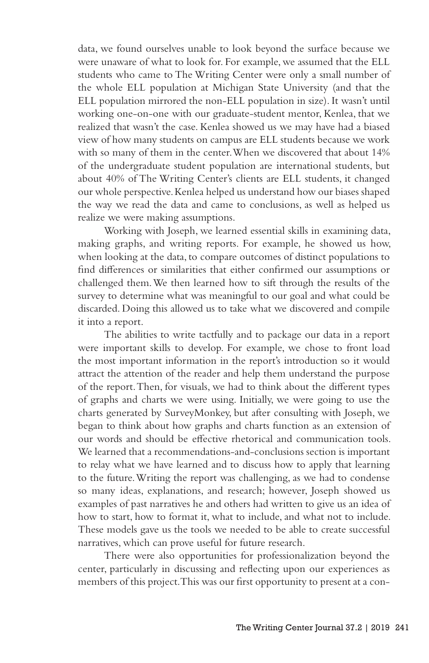data, we found ourselves unable to look beyond the surface because we were unaware of what to look for. For example, we assumed that the ELL students who came to The Writing Center were only a small number of the whole ELL population at Michigan State University (and that the ELL population mirrored the non-ELL population in size). It wasn't until working one-on-one with our graduate-student mentor, Kenlea, that we realized that wasn't the case. Kenlea showed us we may have had a biased view of how many students on campus are ELL students because we work with so many of them in the center. When we discovered that about 14% of the undergraduate student population are international students, but about 40% of The Writing Center's clients are ELL students, it changed our whole perspective. Kenlea helped us understand how our biases shaped the way we read the data and came to conclusions, as well as helped us realize we were making assumptions.

Working with Joseph, we learned essential skills in examining data, making graphs, and writing reports. For example, he showed us how, when looking at the data, to compare outcomes of distinct populations to find differences or similarities that either confirmed our assumptions or challenged them. We then learned how to sift through the results of the survey to determine what was meaningful to our goal and what could be discarded. Doing this allowed us to take what we discovered and compile it into a report.

The abilities to write tactfully and to package our data in a report were important skills to develop. For example, we chose to front load the most important information in the report's introduction so it would attract the attention of the reader and help them understand the purpose of the report. Then, for visuals, we had to think about the different types of graphs and charts we were using. Initially, we were going to use the charts generated by SurveyMonkey, but after consulting with Joseph, we began to think about how graphs and charts function as an extension of our words and should be effective rhetorical and communication tools. We learned that a recommendations-and-conclusions section is important to relay what we have learned and to discuss how to apply that learning to the future. Writing the report was challenging, as we had to condense so many ideas, explanations, and research; however, Joseph showed us examples of past narratives he and others had written to give us an idea of how to start, how to format it, what to include, and what not to include. These models gave us the tools we needed to be able to create successful narratives, which can prove useful for future research.

There were also opportunities for professionalization beyond the center, particularly in discussing and reflecting upon our experiences as members of this project. This was our first opportunity to present at a con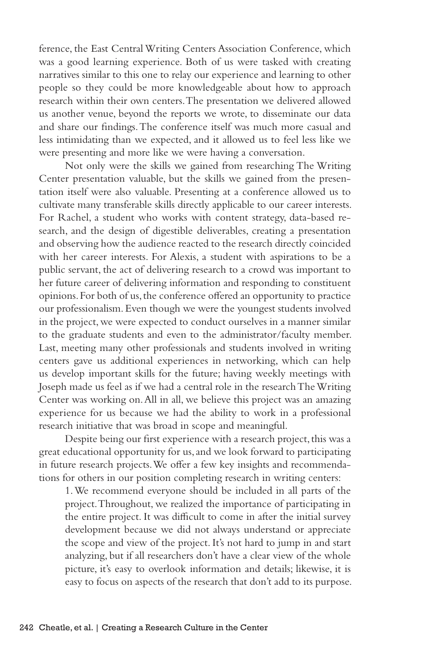ference, the East Central Writing Centers Association Conference, which was a good learning experience. Both of us were tasked with creating narratives similar to this one to relay our experience and learning to other people so they could be more knowledgeable about how to approach research within their own centers. The presentation we delivered allowed us another venue, beyond the reports we wrote, to disseminate our data and share our findings. The conference itself was much more casual and less intimidating than we expected, and it allowed us to feel less like we were presenting and more like we were having a conversation.

Not only were the skills we gained from researching The Writing Center presentation valuable, but the skills we gained from the presentation itself were also valuable. Presenting at a conference allowed us to cultivate many transferable skills directly applicable to our career interests. For Rachel, a student who works with content strategy, data-based research, and the design of digestible deliverables, creating a presentation and observing how the audience reacted to the research directly coincided with her career interests. For Alexis, a student with aspirations to be a public servant, the act of delivering research to a crowd was important to her future career of delivering information and responding to constituent opinions. For both of us, the conference offered an opportunity to practice our professionalism. Even though we were the youngest students involved in the project, we were expected to conduct ourselves in a manner similar to the graduate students and even to the administrator/faculty member. Last, meeting many other professionals and students involved in writing centers gave us additional experiences in networking, which can help us develop important skills for the future; having weekly meetings with Joseph made us feel as if we had a central role in the research The Writing Center was working on. All in all, we believe this project was an amazing experience for us because we had the ability to work in a professional research initiative that was broad in scope and meaningful.

Despite being our first experience with a research project, this was a great educational opportunity for us, and we look forward to participating in future research projects. We offer a few key insights and recommendations for others in our position completing research in writing centers:

1. We recommend everyone should be included in all parts of the project. Throughout, we realized the importance of participating in the entire project. It was difficult to come in after the initial survey development because we did not always understand or appreciate the scope and view of the project. It's not hard to jump in and start analyzing, but if all researchers don't have a clear view of the whole picture, it's easy to overlook information and details; likewise, it is easy to focus on aspects of the research that don't add to its purpose.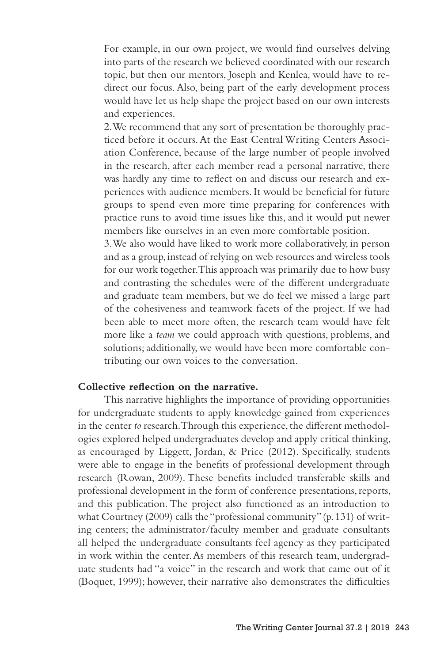For example, in our own project, we would find ourselves delving into parts of the research we believed coordinated with our research topic, but then our mentors, Joseph and Kenlea, would have to redirect our focus. Also, being part of the early development process would have let us help shape the project based on our own interests and experiences.

2. We recommend that any sort of presentation be thoroughly practiced before it occurs. At the East Central Writing Centers Association Conference, because of the large number of people involved in the research, after each member read a personal narrative, there was hardly any time to reflect on and discuss our research and experiences with audience members. It would be beneficial for future groups to spend even more time preparing for conferences with practice runs to avoid time issues like this, and it would put newer members like ourselves in an even more comfortable position.

3. We also would have liked to work more collaboratively, in person and as a group, instead of relying on web resources and wireless tools for our work together. This approach was primarily due to how busy and contrasting the schedules were of the different undergraduate and graduate team members, but we do feel we missed a large part of the cohesiveness and teamwork facets of the project. If we had been able to meet more often, the research team would have felt more like a *team* we could approach with questions, problems, and solutions; additionally, we would have been more comfortable contributing our own voices to the conversation.

### **Collective reflection on the narrative.**

This narrative highlights the importance of providing opportunities for undergraduate students to apply knowledge gained from experiences in the center *to* research. Through this experience, the different methodologies explored helped undergraduates develop and apply critical thinking, as encouraged by Liggett, Jordan, & Price (2012). Specifically, students were able to engage in the benefits of professional development through research (Rowan, 2009). These benefits included transferable skills and professional development in the form of conference presentations, reports, and this publication. The project also functioned as an introduction to what Courtney (2009) calls the "professional community" (p. 131) of writing centers; the administrator/faculty member and graduate consultants all helped the undergraduate consultants feel agency as they participated in work within the center. As members of this research team, undergraduate students had "a voice" in the research and work that came out of it (Boquet, 1999); however, their narrative also demonstrates the difficulties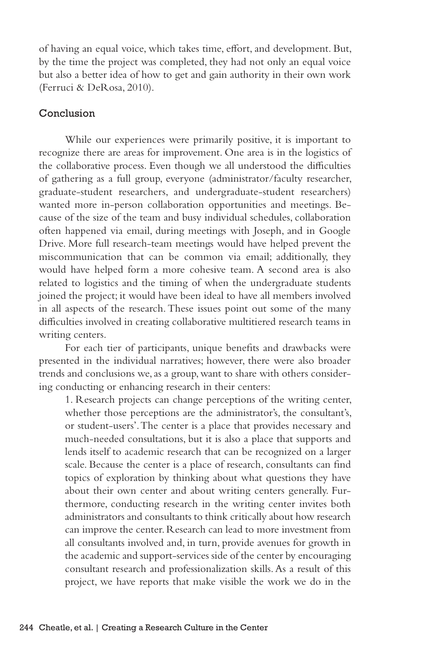of having an equal voice, which takes time, effort, and development. But, by the time the project was completed, they had not only an equal voice but also a better idea of how to get and gain authority in their own work (Ferruci & DeRosa, 2010).

#### Conclusion

While our experiences were primarily positive, it is important to recognize there are areas for improvement. One area is in the logistics of the collaborative process. Even though we all understood the difficulties of gathering as a full group, everyone (administrator/faculty researcher, graduate-student researchers, and undergraduate-student researchers) wanted more in-person collaboration opportunities and meetings. Because of the size of the team and busy individual schedules, collaboration often happened via email, during meetings with Joseph, and in Google Drive. More full research-team meetings would have helped prevent the miscommunication that can be common via email; additionally, they would have helped form a more cohesive team. A second area is also related to logistics and the timing of when the undergraduate students joined the project; it would have been ideal to have all members involved in all aspects of the research. These issues point out some of the many difficulties involved in creating collaborative multitiered research teams in writing centers.

For each tier of participants, unique benefits and drawbacks were presented in the individual narratives; however, there were also broader trends and conclusions we, as a group, want to share with others considering conducting or enhancing research in their centers:

1. Research projects can change perceptions of the writing center, whether those perceptions are the administrator's, the consultant's, or student-users'. The center is a place that provides necessary and much-needed consultations, but it is also a place that supports and lends itself to academic research that can be recognized on a larger scale. Because the center is a place of research, consultants can find topics of exploration by thinking about what questions they have about their own center and about writing centers generally. Furthermore, conducting research in the writing center invites both administrators and consultants to think critically about how research can improve the center. Research can lead to more investment from all consultants involved and, in turn, provide avenues for growth in the academic and support-services side of the center by encouraging consultant research and professionalization skills. As a result of this project, we have reports that make visible the work we do in the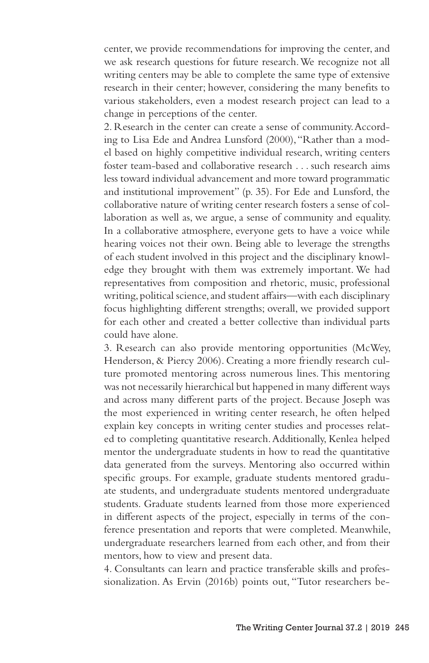center, we provide recommendations for improving the center, and we ask research questions for future research. We recognize not all writing centers may be able to complete the same type of extensive research in their center; however, considering the many benefits to various stakeholders, even a modest research project can lead to a change in perceptions of the center.

2. Research in the center can create a sense of community. According to Lisa Ede and Andrea Lunsford (2000), "Rather than a model based on highly competitive individual research, writing centers foster team-based and collaborative research . . . such research aims less toward individual advancement and more toward programmatic and institutional improvement" (p. 35). For Ede and Lunsford, the collaborative nature of writing center research fosters a sense of collaboration as well as, we argue, a sense of community and equality. In a collaborative atmosphere, everyone gets to have a voice while hearing voices not their own. Being able to leverage the strengths of each student involved in this project and the disciplinary knowledge they brought with them was extremely important. We had representatives from composition and rhetoric, music, professional writing, political science, and student affairs—with each disciplinary focus highlighting different strengths; overall, we provided support for each other and created a better collective than individual parts could have alone.

3. Research can also provide mentoring opportunities (McWey, Henderson, & Piercy 2006). Creating a more friendly research culture promoted mentoring across numerous lines. This mentoring was not necessarily hierarchical but happened in many different ways and across many different parts of the project. Because Joseph was the most experienced in writing center research, he often helped explain key concepts in writing center studies and processes related to completing quantitative research. Additionally, Kenlea helped mentor the undergraduate students in how to read the quantitative data generated from the surveys. Mentoring also occurred within specific groups. For example, graduate students mentored graduate students, and undergraduate students mentored undergraduate students. Graduate students learned from those more experienced in different aspects of the project, especially in terms of the conference presentation and reports that were completed. Meanwhile, undergraduate researchers learned from each other, and from their mentors, how to view and present data.

4. Consultants can learn and practice transferable skills and professionalization. As Ervin (2016b) points out, "Tutor researchers be-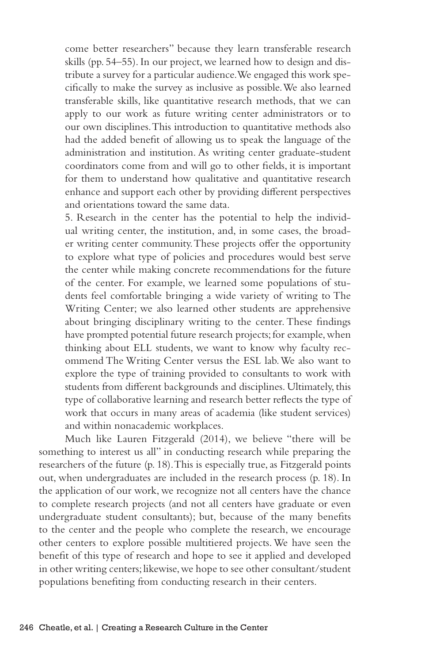come better researchers" because they learn transferable research skills (pp. 54–55). In our project, we learned how to design and distribute a survey for a particular audience. We engaged this work specifically to make the survey as inclusive as possible. We also learned transferable skills, like quantitative research methods, that we can apply to our work as future writing center administrators or to our own disciplines. This introduction to quantitative methods also had the added benefit of allowing us to speak the language of the administration and institution. As writing center graduate-student coordinators come from and will go to other fields, it is important for them to understand how qualitative and quantitative research enhance and support each other by providing different perspectives and orientations toward the same data.

5. Research in the center has the potential to help the individual writing center, the institution, and, in some cases, the broader writing center community. These projects offer the opportunity to explore what type of policies and procedures would best serve the center while making concrete recommendations for the future of the center. For example, we learned some populations of students feel comfortable bringing a wide variety of writing to The Writing Center; we also learned other students are apprehensive about bringing disciplinary writing to the center. These findings have prompted potential future research projects; for example, when thinking about ELL students, we want to know why faculty recommend The Writing Center versus the ESL lab. We also want to explore the type of training provided to consultants to work with students from different backgrounds and disciplines. Ultimately, this type of collaborative learning and research better reflects the type of work that occurs in many areas of academia (like student services) and within nonacademic workplaces.

Much like Lauren Fitzgerald (2014), we believe "there will be something to interest us all" in conducting research while preparing the researchers of the future (p. 18). This is especially true, as Fitzgerald points out, when undergraduates are included in the research process (p. 18). In the application of our work, we recognize not all centers have the chance to complete research projects (and not all centers have graduate or even undergraduate student consultants); but, because of the many benefits to the center and the people who complete the research, we encourage other centers to explore possible multitiered projects. We have seen the benefit of this type of research and hope to see it applied and developed in other writing centers; likewise, we hope to see other consultant/student populations benefiting from conducting research in their centers.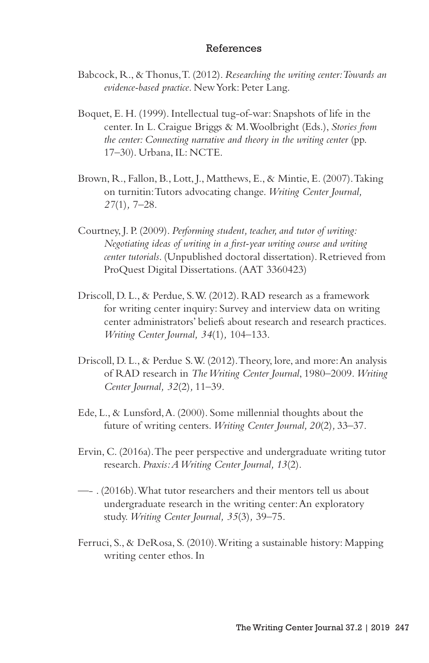#### References

- Babcock, R., & Thonus, T. (2012). *Researching the writing center: Towards an evidence-based practice*. New York: Peter Lang.
- Boquet, E. H. (1999). Intellectual tug-of-war: Snapshots of life in the center. In L. Craigue Briggs & M. Woolbright (Eds.), *Stories from the center: Connecting narrative and theory in the writing center* (pp. 17–30). Urbana, IL: NCTE.
- Brown, R., Fallon, B., Lott, J., Matthews, E., & Mintie, E. (2007). Taking on turnitin: Tutors advocating change. *Writing Center Journal, 27*(1)*,* 7–28.
- Courtney, J. P. (2009). *Performing student, teacher, and tutor of writing: Negotiating ideas of writing in a first-year writing course and writing center tutorials*. (Unpublished doctoral dissertation). Retrieved from ProQuest Digital Dissertations. (AAT 3360423)
- Driscoll, D. L., & Perdue, S. W. (2012). RAD research as a framework for writing center inquiry: Survey and interview data on writing center administrators' beliefs about research and research practices. *Writing Center Journal, 34*(1)*,* 104–133.
- Driscoll, D. L., & Perdue S. W. (2012). Theory, lore, and more: An analysis of RAD research in *The Writing Center Journal*, 1980–2009. *Writing Center Journal, 32*(2)*,* 11–39.
- Ede, L., & Lunsford, A. (2000). Some millennial thoughts about the future of writing centers. *Writing Center Journal, 20*(2)*,* 33–37.
- Ervin, C. (2016a). The peer perspective and undergraduate writing tutor research. *Praxis: A Writing Center Journal, 13*(2).
- —- . (2016b). What tutor researchers and their mentors tell us about undergraduate research in the writing center: An exploratory study. *Writing Center Journal, 35*(3)*,* 39–75.
- Ferruci, S., & DeRosa, S. (2010). Writing a sustainable history: Mapping writing center ethos. In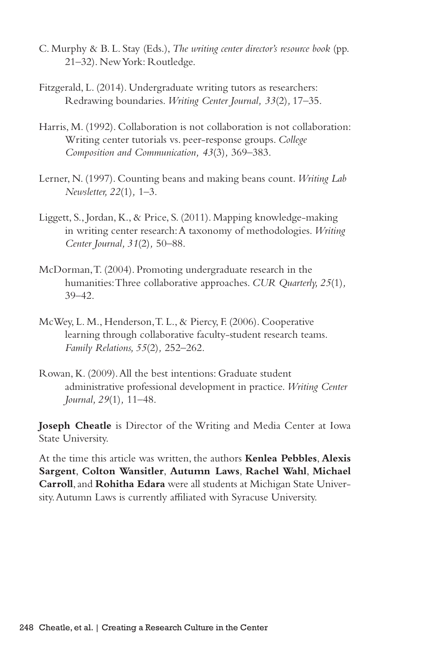- C. Murphy & B. L. Stay (Eds.), *The writing center director's resource book* (pp. 21–32). New York: Routledge.
- Fitzgerald, L. (2014). Undergraduate writing tutors as researchers: Redrawing boundaries. *Writing Center Journal, 33*(2)*,* 17–35.
- Harris, M. (1992). Collaboration is not collaboration is not collaboration: Writing center tutorials vs. peer-response groups. *College Composition and Communication, 43*(3)*,* 369–383.
- Lerner, N. (1997). Counting beans and making beans count. *Writing Lab Newsletter, 22*(1)*,* 1–3.
- Liggett, S., Jordan, K., & Price, S. (2011). Mapping knowledge-making in writing center research: A taxonomy of methodologies. *Writing Center Journal, 31*(2)*,* 50–88.
- McDorman, T. (2004). Promoting undergraduate research in the humanities: Three collaborative approaches. *CUR Quarterly, 25*(1)*,*  39–42.
- McWey, L. M., Henderson, T. L., & Piercy, F. (2006). Cooperative learning through collaborative faculty-student research teams. *Family Relations, 55*(2)*,* 252–262.
- Rowan, K. (2009). All the best intentions: Graduate student administrative professional development in practice. *Writing Center Journal, 29*(1)*,* 11–48.

**Joseph Cheatle** is Director of the Writing and Media Center at Iowa State University.

At the time this article was written, the authors **Kenlea Pebbles**, **Alexis Sargent**, **Colton Wansitler**, **Autumn Laws**, **Rachel Wahl**, **Michael Carroll**, and **Rohitha Edara** were all students at Michigan State University. Autumn Laws is currently affiliated with Syracuse University.